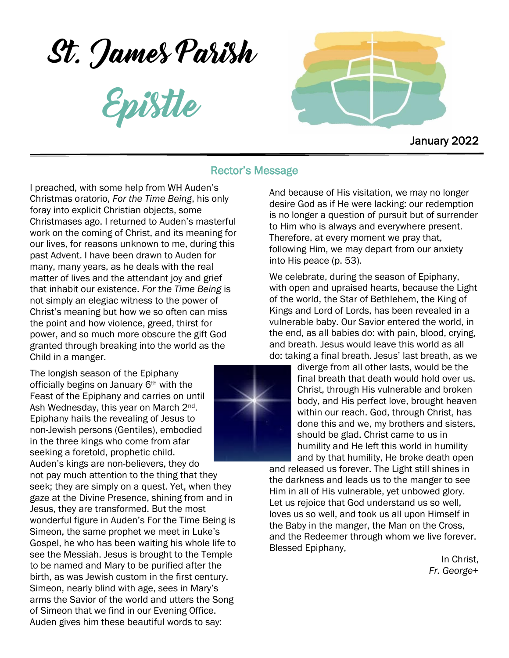St. James Parish

Epistle



#### January 2022

#### Rector's Message

I preached, with some help from WH Auden's Christmas oratorio, *For the Time Being*, his only foray into explicit Christian objects, some Christmases ago. I returned to Auden's masterful work on the coming of Christ, and its meaning for our lives, for reasons unknown to me, during this past Advent. I have been drawn to Auden for many, many years, as he deals with the real matter of lives and the attendant joy and grief that inhabit our existence. *For the Time Being* is not simply an elegiac witness to the power of Christ's meaning but how we so often can miss the point and how violence, greed, thirst for power, and so much more obscure the gift God granted through breaking into the world as the Child in a manger.

The longish season of the Epiphany officially begins on January 6<sup>th</sup> with the Feast of the Epiphany and carries on until Ash Wednesday, this year on March 2nd. Epiphany hails the revealing of Jesus to non-Jewish persons (Gentiles), embodied in the three kings who come from afar seeking a foretold, prophetic child.

Auden's kings are non-believers, they do not pay much attention to the thing that they seek; they are simply on a quest. Yet, when they gaze at the Divine Presence, shining from and in Jesus, they are transformed. But the most wonderful figure in Auden's For the Time Being is Simeon, the same prophet we meet in Luke's Gospel, he who has been waiting his whole life to see the Messiah. Jesus is brought to the Temple to be named and Mary to be purified after the birth, as was Jewish custom in the first century. Simeon, nearly blind with age, sees in Mary's arms the Savior of the world and utters the Song of Simeon that we find in our Evening Office. Auden gives him these beautiful words to say:



And because of His visitation, we may no longer desire God as if He were lacking: our redemption is no longer a question of pursuit but of surrender to Him who is always and everywhere present. Therefore, at every moment we pray that, following Him, we may depart from our anxiety into His peace (p. 53).

We celebrate, during the season of Epiphany, with open and upraised hearts, because the Light of the world, the Star of Bethlehem, the King of Kings and Lord of Lords, has been revealed in a vulnerable baby. Our Savior entered the world, in the end, as all babies do: with pain, blood, crying, and breath. Jesus would leave this world as all do: taking a final breath. Jesus' last breath, as we

> diverge from all other lasts, would be the final breath that death would hold over us. Christ, through His vulnerable and broken body, and His perfect love, brought heaven within our reach. God, through Christ, has done this and we, my brothers and sisters, should be glad. Christ came to us in humility and He left this world in humility and by that humility, He broke death open

and released us forever. The Light still shines in the darkness and leads us to the manger to see Him in all of His vulnerable, yet unbowed glory. Let us rejoice that God understand us so well, loves us so well, and took us all upon Himself in the Baby in the manger, the Man on the Cross, and the Redeemer through whom we live forever. Blessed Epiphany,

In Christ, *Fr. George*+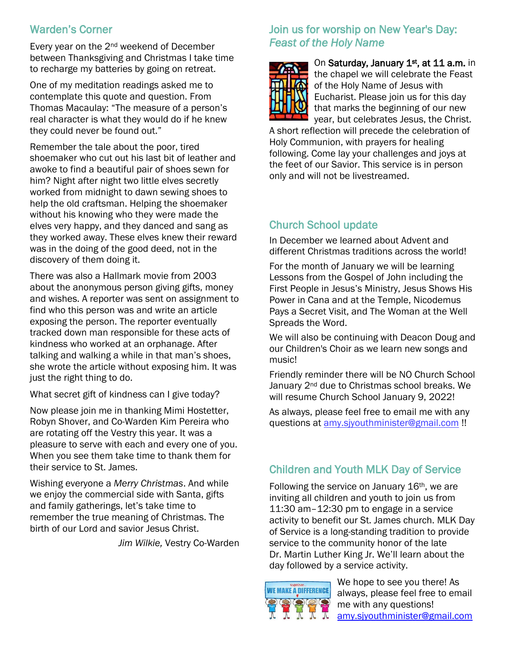# Warden's Corner

Every year on the 2nd weekend of December between Thanksgiving and Christmas I take time to recharge my batteries by going on retreat.

One of my meditation readings asked me to contemplate this quote and question. From Thomas Macaulay: "The measure of a person's real character is what they would do if he knew they could never be found out."

Remember the tale about the poor, tired shoemaker who cut out his last bit of leather and awoke to find a beautiful pair of shoes sewn for him? Night after night two little elves secretly worked from midnight to dawn sewing shoes to help the old craftsman. Helping the shoemaker without his knowing who they were made the elves very happy, and they danced and sang as they worked away. These elves knew their reward was in the doing of the good deed, not in the discovery of them doing it.

There was also a Hallmark movie from 2003 about the anonymous person giving gifts, money and wishes. A reporter was sent on assignment to find who this person was and write an article exposing the person. The reporter eventually tracked down man responsible for these acts of kindness who worked at an orphanage. After talking and walking a while in that man's shoes, she wrote the article without exposing him. It was just the right thing to do.

What secret gift of kindness can I give today?

Now please join me in thanking Mimi Hostetter, Robyn Shover, and Co-Warden Kim Pereira who are rotating off the Vestry this year. It was a pleasure to serve with each and every one of you. When you see them take time to thank them for their service to St. James.

Wishing everyone a *Merry Christmas*. And while we enjoy the commercial side with Santa, gifts and family gatherings, let's take time to remember the true meaning of Christmas. The birth of our Lord and savior Jesus Christ.

*Jim Wilkie,* Vestry Co-Warden

## Join us for worship on New Year's Day: *Feast of the Holy Name*



On Saturday, January 1<sup>st</sup>, at 11 a.m. in the chapel we will celebrate the Feast of the Holy Name of Jesus with Eucharist. Please join us for this day that marks the beginning of our new year, but celebrates Jesus, the Christ.

A short reflection will precede the celebration of Holy Communion, with prayers for healing following. Come lay your challenges and joys at the feet of our Savior. This service is in person only and will not be livestreamed.

# Church School update

In December we learned about Advent and different Christmas traditions across the world!

For the month of January we will be learning Lessons from the Gospel of John including the First People in Jesus's Ministry, Jesus Shows His Power in Cana and at the Temple, Nicodemus Pays a Secret Visit, and The Woman at the Well Spreads the Word.

We will also be continuing with Deacon Doug and our Children's Choir as we learn new songs and music!

Friendly reminder there will be NO Church School January 2<sup>nd</sup> due to Christmas school breaks. We will resume Church School January 9, 2022!

As always, please feel free to email me with any questions at [amy.sjyouthminister@gmail.com](mailto:amy.sjyouthminister@gmail.com) !!

# Children and Youth MLK Day of Service

Following the service on January 16th, we are inviting all children and youth to join us from 11:30 am–12:30 pm to engage in a service activity to benefit our St. James church. MLK Day of Service is a long-standing tradition to provide service to the community honor of the late Dr. Martin Luther King Jr. We'll learn about the day followed by a service activity.



We hope to see you there! As always, please feel free to email me with any questions! [amy.sjyouthminister@gmail.com](mailto:amy.sjyouthminister@gmail.com)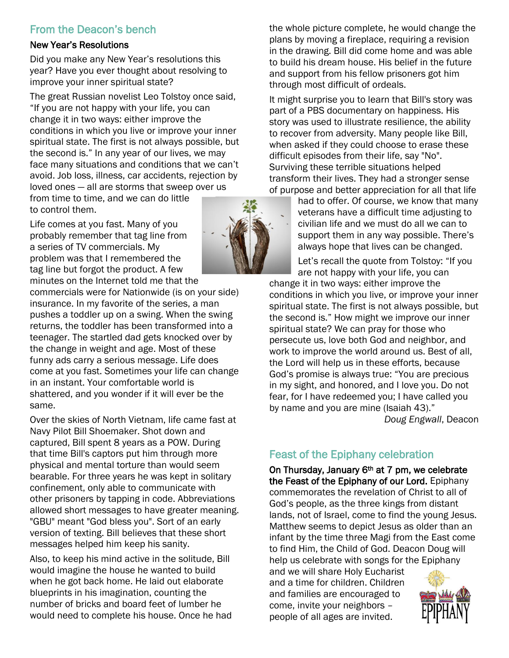# From the Deacon's bench

#### New Year's Resolutions

Did you make any New Year's resolutions this year? Have you ever thought about resolving to improve your inner spiritual state?

The great Russian novelist Leo Tolstoy once said, "If you are not happy with your life, you can change it in two ways: either improve the conditions in which you live or improve your inner spiritual state. The first is not always possible, but the second is." In any year of our lives, we may face many situations and conditions that we can't avoid. Job loss, illness, car accidents, rejection by loved ones — all are storms that sweep over us

from time to time, and we can do little to control them.

Life comes at you fast. Many of you probably remember that tag line from a series of TV commercials. My problem was that I remembered the tag line but forgot the product. A few

minutes on the Internet told me that the commercials were for Nationwide (is on your side) insurance. In my favorite of the series, a man pushes a toddler up on a swing. When the swing returns, the toddler has been transformed into a teenager. The startled dad gets knocked over by the change in weight and age. Most of these funny ads carry a serious message. Life does come at you fast. Sometimes your life can change in an instant. Your comfortable world is shattered, and you wonder if it will ever be the same.

Over the skies of North Vietnam, life came fast at Navy Pilot Bill Shoemaker. Shot down and captured, Bill spent 8 years as a POW. During that time Bill's captors put him through more physical and mental torture than would seem bearable. For three years he was kept in solitary confinement, only able to communicate with other prisoners by tapping in code. Abbreviations allowed short messages to have greater meaning. "GBU" meant "God bless you". Sort of an early version of texting. Bill believes that these short messages helped him keep his sanity.

Also, to keep his mind active in the solitude, Bill would imagine the house he wanted to build when he got back home. He laid out elaborate blueprints in his imagination, counting the number of bricks and board feet of lumber he would need to complete his house. Once he had the whole picture complete, he would change the plans by moving a fireplace, requiring a revision in the drawing. Bill did come home and was able to build his dream house. His belief in the future and support from his fellow prisoners got him through most difficult of ordeals.

It might surprise you to learn that Bill's story was part of a PBS documentary on happiness. His story was used to illustrate resilience, the ability to recover from adversity. Many people like Bill, when asked if they could choose to erase these difficult episodes from their life, say "No". Surviving these terrible situations helped transform their lives. They had a stronger sense of purpose and better appreciation for all that life

> had to offer. Of course, we know that many veterans have a difficult time adjusting to civilian life and we must do all we can to support them in any way possible. There's always hope that lives can be changed.

Let's recall the quote from Tolstoy: "If you are not happy with your life, you can

change it in two ways: either improve the conditions in which you live, or improve your inner spiritual state. The first is not always possible, but the second is." How might we improve our inner spiritual state? We can pray for those who persecute us, love both God and neighbor, and work to improve the world around us. Best of all, the Lord will help us in these efforts, because God's promise is always true: "You are precious in my sight, and honored, and I love you. Do not fear, for I have redeemed you; I have called you by name and you are mine (Isaiah 43)." *Doug Engwall*, Deacon

# Feast of the Epiphany celebration

On Thursday, January 6th at 7 pm, we celebrate the Feast of the Epiphany of our Lord. Epiphany commemorates the revelation of Christ to all of God's people, as the three kings from distant lands, not of Israel, come to find the young Jesus. Matthew seems to depict Jesus as older than an infant by the time three Magi from the East come to find Him, the Child of God. Deacon Doug will help us celebrate with songs for the Epiphany

and we will share Holy Eucharist and a time for children. Children and families are encouraged to come, invite your neighbors – people of all ages are invited.



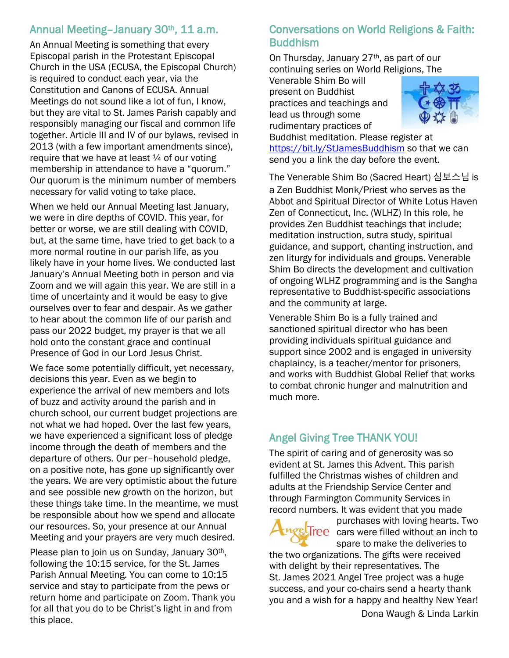## Annual Meeting-January 30th, 11 a.m.

An Annual Meeting is something that every Episcopal parish in the Protestant Episcopal Church in the USA (ECUSA, the Episcopal Church) is required to conduct each year, via the Constitution and Canons of ECUSA. Annual Meetings do not sound like a lot of fun, I know, but they are vital to St. James Parish capably and responsibly managing our fiscal and common life together. Article III and IV of our bylaws, revised in 2013 (with a few important amendments since), require that we have at least  $\frac{1}{4}$  of our voting membership in attendance to have a "quorum." Our quorum is the minimum number of members necessary for valid voting to take place.

When we held our Annual Meeting last January, we were in dire depths of COVID. This year, for better or worse, we are still dealing with COVID, but, at the same time, have tried to get back to a more normal routine in our parish life, as you likely have in your home lives. We conducted last January's Annual Meeting both in person and via Zoom and we will again this year. We are still in a time of uncertainty and it would be easy to give ourselves over to fear and despair. As we gather to hear about the common life of our parish and pass our 2022 budget, my prayer is that we all hold onto the constant grace and continual Presence of God in our Lord Jesus Christ.

We face some potentially difficult, yet necessary, decisions this year. Even as we begin to experience the arrival of new members and lots of buzz and activity around the parish and in church school, our current budget projections are not what we had hoped. Over the last few years, we have experienced a significant loss of pledge income through the death of members and the departure of others. Our per–household pledge, on a positive note, has gone up significantly over the years. We are very optimistic about the future and see possible new growth on the horizon, but these things take time. In the meantime, we must be responsible about how we spend and allocate our resources. So, your presence at our Annual Meeting and your prayers are very much desired.

Please plan to join us on Sunday, January 30<sup>th</sup>, following the 10:15 service, for the St. James Parish Annual Meeting. You can come to 10:15 service and stay to participate from the pews or return home and participate on Zoom. Thank you for all that you do to be Christ's light in and from this place.

# Conversations on World Religions & Faith: Buddhism

On Thursday, January 27<sup>th</sup>, as part of our continuing series on World Religions, The

Venerable Shim Bo will present on Buddhist practices and teachings and lead us through some rudimentary practices of



Buddhist meditation. Please register at <https://bit.ly/StJamesBuddhism> so that we can send you a link the day before the event.

The Venerable Shim Bo (Sacred Heart) 심보스님 is a Zen Buddhist Monk/Priest who serves as the Abbot and Spiritual Director of White Lotus Haven Zen of Connecticut, Inc. (WLHZ) In this role, he provides Zen Buddhist teachings that include; meditation instruction, sutra study, spiritual guidance, and support, chanting instruction, and zen liturgy for individuals and groups. Venerable Shim Bo directs the development and cultivation of ongoing WLHZ programming and is the Sangha representative to Buddhist-specific associations and the community at large.

Venerable Shim Bo is a fully trained and sanctioned spiritual director who has been providing individuals spiritual guidance and support since 2002 and is engaged in university chaplaincy, is a teacher/mentor for prisoners, and works with Buddhist Global Relief that works to combat chronic hunger and malnutrition and much more.

# Angel Giving Tree THANK YOU!

The spirit of caring and of generosity was so evident at St. James this Advent. This parish fulfilled the Christmas wishes of children and adults at the Friendship Service Center and through Farmington Community Services in record numbers. It was evident that you made



purchases with loving hearts. Two **et Tree** cars were filled without an inch to spare to make the deliveries to

the two organizations. The gifts were received with delight by their representatives. The St. James 2021 Angel Tree project was a huge success, and your co-chairs send a hearty thank you and a wish for a happy and healthy New Year! Dona Waugh & Linda Larkin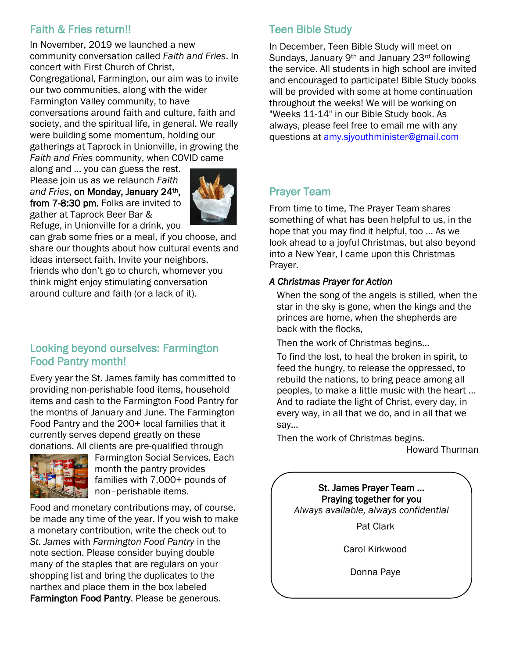# Faith & Fries return!!

In November, 2019 we launched a new community conversation called *Faith and Fries*. In concert with First Church of Christ,

Congregational, Farmington, our aim was to invite our two communities, along with the wider Farmington Valley community, to have conversations around faith and culture, faith and society, and the spiritual life, in general. We really were building some momentum, holding our gatherings at Taprock in Unionville, in growing the *Faith and Fries* community, when COVID came

along and … you can guess the rest. Please join us as we relaunch *Faith and Fries*, on Monday, January 24th, from 7-8:30 pm. Folks are invited to gather at Taprock Beer Bar & Refuge, in Unionville for a drink, you



can grab some fries or a meal, if you choose, and share our thoughts about how cultural events and ideas intersect faith. Invite your neighbors, friends who don't go to church, whomever you think might enjoy stimulating conversation around culture and faith (or a lack of it).

## Looking beyond ourselves: Farmington Food Pantry month!

Every year the St. James family has committed to providing non-perishable food items, household items and cash to the Farmington Food Pantry for the months of January and June. The Farmington Food Pantry and the 200+ local families that it currently serves depend greatly on these donations. All clients are pre-qualified through



Farmington Social Services. Each month the pantry provides families with 7,000+ pounds of non–perishable items.

Food and monetary contributions may, of course, be made any time of the year. If you wish to make a monetary contribution, write the check out to *St. James* with *Farmington Food Pantry* in the note section. Please consider buying double many of the staples that are regulars on your shopping list and bring the duplicates to the narthex and place them in the box labeled Farmington Food Pantry. Please be generous.

# Teen Bible Study

In December, Teen Bible Study will meet on Sundays, January 9<sup>th</sup> and January 23<sup>rd</sup> following the service. All students in high school are invited and encouraged to participate! Bible Study books will be provided with some at home continuation throughout the weeks! We will be working on "Weeks 11-14" in our Bible Study book. As always, please feel free to email me with any questions at amy.siyouthminister@gmail.com

# Prayer Team

From time to time, The Prayer Team shares something of what has been helpful to us, in the hope that you may find it helpful, too … As we look ahead to a joyful Christmas, but also beyond into a New Year, I came upon this Christmas Prayer.

#### *A Christmas Prayer for Action*

When the song of the angels is stilled, when the star in the sky is gone, when the kings and the princes are home, when the shepherds are back with the flocks,

Then the work of Christmas begins...

To find the lost, to heal the broken in spirit, to feed the hungry, to release the oppressed, to rebuild the nations, to bring peace among all peoples, to make a little music with the heart ... And to radiate the light of Christ, every day, in every way, in all that we do, and in all that we say...

Then the work of Christmas begins.

Howard Thurman

St. James Prayer Team … Praying together for you *Always available, always confidential*

Pat Clark

Carol Kirkwood

Donna Paye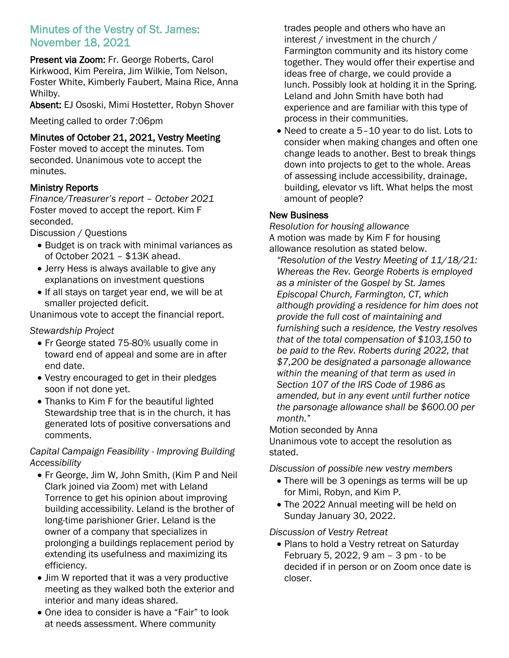## Minutes of the Vestry of St. James: November 18, 2021

Present via Zoom: Fr. George Roberts, Carol Kirkwood, Kim Pereira, Jim Wilkie, Tom Nelson, Foster White, Kimberly Faubert, Maina Rice, Anna Whilby.

Absent: EJ Ososki, Mimi Hostetter, Robyn Shover

Meeting called to order 7:06pm

#### Minutes of October 21, 2021, Vestry Meeting

Foster moved to accept the minutes. Tom seconded. Unanimous vote to accept the minutes.

### Ministry Reports

*Finance/Treasurer's report – October 2021* Foster moved to accept the report. Kim F seconded.

Discussion / Questions

- Budget is on track with minimal variances as of October 2021 – \$13K ahead.
- Jerry Hess is always available to give any explanations on investment questions
- If all stays on target year end, we will be at smaller projected deficit.

Unanimous vote to accept the financial report.

#### *Stewardship Project*

- Fr George stated 75-80% usually come in toward end of appeal and some are in after end date.
- Vestry encouraged to get in their pledges soon if not done yet.
- Thanks to Kim F for the beautiful lighted Stewardship tree that is in the church, it has generated lots of positive conversations and comments.

#### *Capital Campaign Feasibility - Improving Building Accessibility*

- Fr George, Jim W, John Smith, (Kim P and Neil Clark joined via Zoom) met with Leland Torrence to get his opinion about improving building accessibility. Leland is the brother of long-time parishioner Grier. Leland is the owner of a company that specializes in prolonging a buildings replacement period by extending its usefulness and maximizing its efficiency.
- Jim W reported that it was a very productive meeting as they walked both the exterior and interior and many ideas shared.
- One idea to consider is have a "Fair" to look at needs assessment. Where community

trades people and others who have an interest / investment in the church / Farmington community and its history come together. They would offer their expertise and ideas free of charge, we could provide a lunch. Possibly look at holding it in the Spring. Leland and John Smith have both had experience and are familiar with this type of process in their communities.

• Need to create a 5–10 year to do list. Lots to consider when making changes and often one change leads to another. Best to break things down into projects to get to the whole. Areas of assessing include accessibility, drainage, building, elevator vs lift. What helps the most amount of people?

#### New Business

*Resolution for housing allowance*  A motion was made by Kim F for housing allowance resolution as stated below.

*"Resolution of the Vestry Meeting of 11/18/21: Whereas the Rev. George Roberts is employed as a minister of the Gospel by St. James Episcopal Church, Farmington, CT, which although providing a residence for him does not provide the full cost of maintaining and furnishing such a residence, the Vestry resolves that of the total compensation of \$103,150 to be paid to the Rev. Roberts during 2022, that \$7,200 be designated a parsonage allowance within the meaning of that term as used in Section 107 of the IRS Code of 1986 as amended, but in any event until further notice the parsonage allowance shall be \$600.00 per month."*

Motion seconded by Anna Unanimous vote to accept the resolution as stated.

*Discussion of possible new vestry members* 

- There will be 3 openings as terms will be up for Mimi, Robyn, and Kim P.
- The 2022 Annual meeting will be held on Sunday January 30, 2022.

#### *Discussion of Vestry Retreat*

• Plans to hold a Vestry retreat on Saturday February 5, 2022, 9 am – 3 pm - to be decided if in person or on Zoom once date is closer.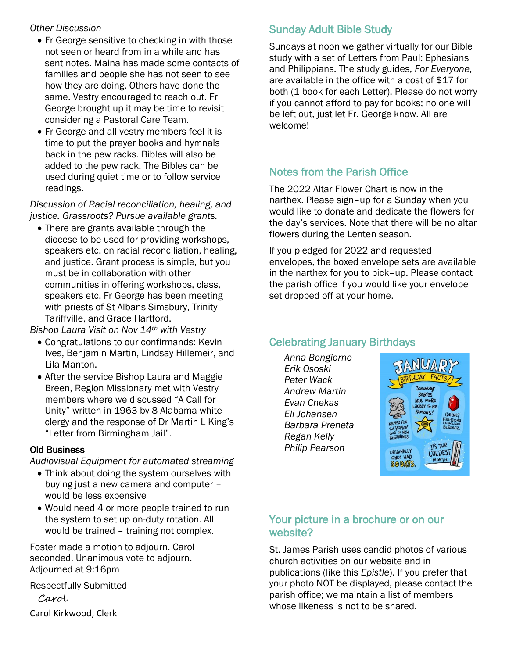#### *Other Discussion*

- Fr George sensitive to checking in with those not seen or heard from in a while and has sent notes. Maina has made some contacts of families and people she has not seen to see how they are doing. Others have done the same. Vestry encouraged to reach out. Fr George brought up it may be time to revisit considering a Pastoral Care Team.
- Fr George and all vestry members feel it is time to put the prayer books and hymnals back in the pew racks. Bibles will also be added to the pew rack. The Bibles can be used during quiet time or to follow service readings.

#### *Discussion of Racial reconciliation, healing, and justice. Grassroots? Pursue available grants.*

• There are grants available through the diocese to be used for providing workshops, speakers etc. on racial reconciliation, healing, and justice. Grant process is simple, but you must be in collaboration with other communities in offering workshops, class, speakers etc. Fr George has been meeting with priests of St Albans Simsbury, Trinity Tariffville, and Grace Hartford.

*Bishop Laura Visit on Nov 14th with Vestry* 

- Congratulations to our confirmands: Kevin Ives, Benjamin Martin, Lindsay Hillemeir, and Lila Manton.
- After the service Bishop Laura and Maggie Breen, Region Missionary met with Vestry members where we discussed "A Call for Unity" written in 1963 by 8 Alabama white clergy and the response of Dr Martin L King's "Letter from Birmingham Jail".

### Old Business

*Audiovisual Equipment for automated streaming*

- Think about doing the system ourselves with buying just a new camera and computer – would be less expensive
- Would need 4 or more people trained to run the system to set up on-duty rotation. All would be trained – training not complex.

Foster made a motion to adjourn. Carol seconded. Unanimous vote to adjourn. Adjourned at 9:16pm

Respectfully Submitted Carol Carol Kirkwood, Clerk

# Sunday Adult Bible Study

Sundays at noon we gather virtually for our Bible study with a set of Letters from Paul: Ephesians and Philippians. The study guides, *For Everyone*, are available in the office with a cost of \$17 for both (1 book for each Letter). Please do not worry if you cannot afford to pay for books; no one will be left out, just let Fr. George know. All are welcome!

# Notes from the Parish Office

The 2022 Altar Flower Chart is now in the narthex. Please sign–up for a Sunday when you would like to donate and dedicate the flowers for the day's services. Note that there will be no altar flowers during the Lenten season.

If you pledged for 2022 and requested envelopes, the boxed envelope sets are available in the narthex for you to pick–up. Please contact the parish office if you would like your envelope set dropped off at your home.

# Celebrating January Birthdays

*Anna Bongiorno Erik Ososki Peter Wack Andrew Martin Evan Chekas Eli Johansen Barbara Preneta Regan Kelly Philip Pearson*



## Your picture in a brochure or on our website?

St. James Parish uses candid photos of various church activities on our website and in publications (like this *Epistle*). If you prefer that your photo NOT be displayed, please contact the parish office; we maintain a list of members whose likeness is not to be shared.